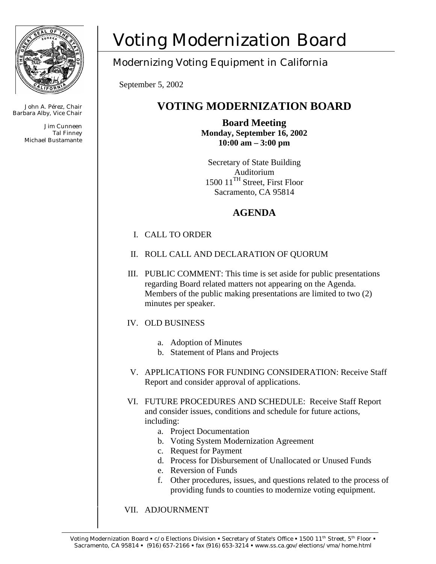

John A. Pérez, Chair Barbara Alby, Vice Chair

> Jim Cunneen Tal Finney Michael Bustamante

# Voting Modernization Board

## Modernizing Voting Equipment in California

September 5, 2002

## **VOTING MODERNIZATION BOARD**

**Board Meeting Monday, September 16, 2002 10:00 am – 3:00 pm** 

Secretary of State Building Auditorium 1500 11<sup>TH</sup> Street, First Floor Sacramento, CA 95814

### **AGENDA**

#### I. CALL TO ORDER

- II. ROLL CALL AND DECLARATION OF QUORUM
- III. PUBLIC COMMENT: This time is set aside for public presentations regarding Board related matters not appearing on the Agenda. Members of the public making presentations are limited to two (2) minutes per speaker.

#### IV. OLD BUSINESS

- a. Adoption of Minutes
- b. Statement of Plans and Projects
- V. APPLICATIONS FOR FUNDING CONSIDERATION: Receive Staff Report and consider approval of applications.
- VI. FUTURE PROCEDURES AND SCHEDULE: Receive Staff Report and consider issues, conditions and schedule for future actions, including:
	- a. Project Documentation
	- b. Voting System Modernization Agreement
	- c. Request for Payment
	- d. Process for Disbursement of Unallocated or Unused Funds
	- e. Reversion of Funds
	- f. Other procedures, issues, and questions related to the process of providing funds to counties to modernize voting equipment.

#### VII. ADJOURNMENT